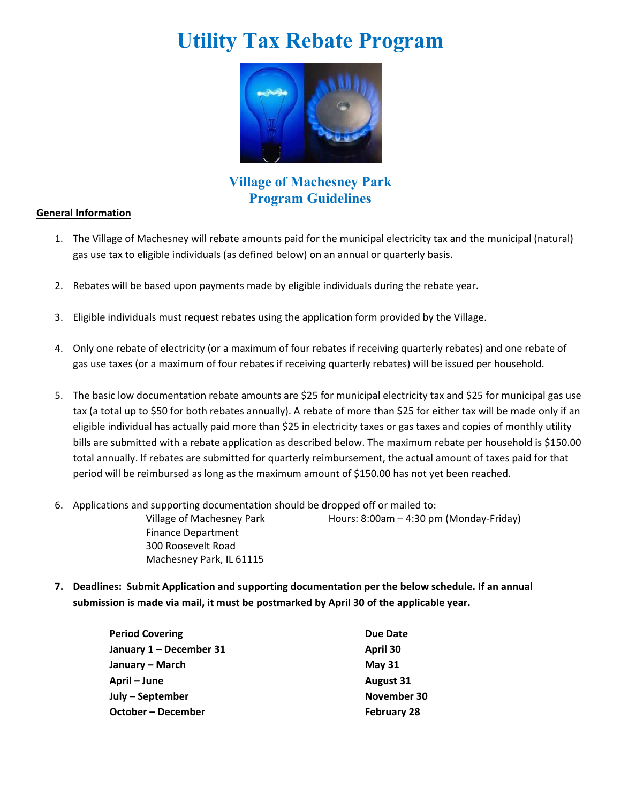# **Utility Tax Rebate Program**



**Village of Machesney Park Program Guidelines** 

#### **General Information**

- 1. The Village of Machesney will rebate amounts paid for the municipal electricity tax and the municipal (natural) gas use tax to eligible individuals (as defined below) on an annual or quarterly basis.
- 2. Rebates will be based upon payments made by eligible individuals during the rebate year.
- 3. Eligible individuals must request rebates using the application form provided by the Village.
- 4. Only one rebate of electricity (or a maximum of four rebates if receiving quarterly rebates) and one rebate of gas use taxes (or a maximum of four rebates if receiving quarterly rebates) will be issued per household.
- 5. The basic low documentation rebate amounts are \$25 for municipal electricity tax and \$25 for municipal gas use tax (a total up to \$50 for both rebates annually). A rebate of more than \$25 for either tax will be made only if an eligible individual has actually paid more than \$25 in electricity taxes or gas taxes and copies of monthly utility bills are submitted with a rebate application as described below. The maximum rebate per household is \$150.00 total annually. If rebates are submitted for quarterly reimbursement, the actual amount of taxes paid for that period will be reimbursed as long as the maximum amount of \$150.00 has not yet been reached.
- 6. Applications and supporting documentation should be dropped off or mailed to:

Finance Department 300 Roosevelt Road Machesney Park, IL 61115

Village of Machesney Park Hours: 8:00am – 4:30 pm (Monday-Friday)

**7. Deadlines: Submit Application and supporting documentation per the below schedule. If an annual submission is made via mail, it must be postmarked by April 30 of the applicable year.**

| <b>Period Covering</b>  | <b>Due Date</b>    |
|-------------------------|--------------------|
| January 1 – December 31 | April 30           |
| January – March         | May $31$           |
| April – June            | <b>August 31</b>   |
| July – September        | November 30        |
| October – December      | <b>February 28</b> |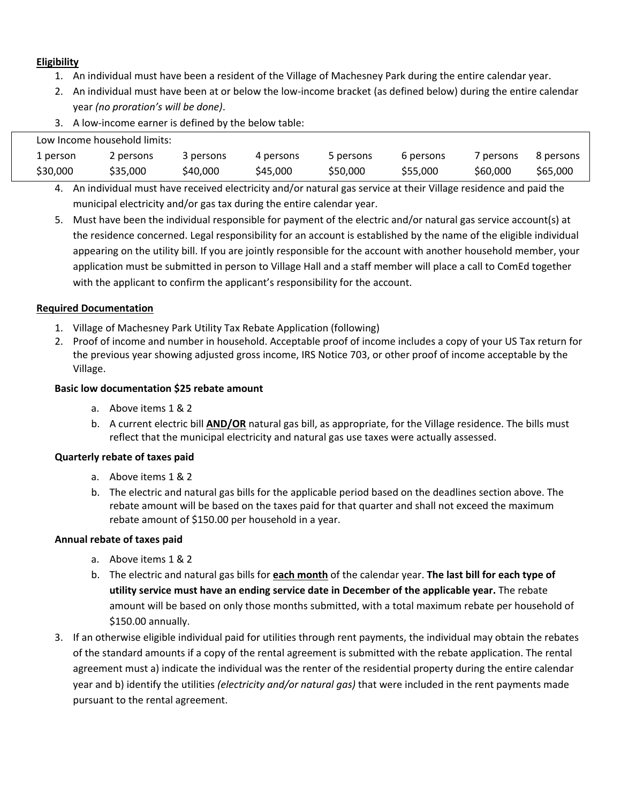#### **Eligibility**

- 1. An individual must have been a resident of the Village of Machesney Park during the entire calendar year.
- 2. An individual must have been at or below the low‐income bracket (as defined below) during the entire calendar year *(no proration's will be done)*.
- 3. A low‐income earner is defined by the below table:

|          | Low Income household limits: |           |           |           |           |           |           |
|----------|------------------------------|-----------|-----------|-----------|-----------|-----------|-----------|
| 1 person | 2 persons                    | 3 persons | 4 persons | 5 persons | 6 persons | 7 persons | 8 persons |
| \$30,000 | \$35,000                     | \$40.000  | \$45,000  | \$50,000  | \$55,000  | \$60,000  | \$65,000  |

4. An individual must have received electricity and/or natural gas service at their Village residence and paid the municipal electricity and/or gas tax during the entire calendar year.

5. Must have been the individual responsible for payment of the electric and/or natural gas service account(s) at the residence concerned. Legal responsibility for an account is established by the name of the eligible individual appearing on the utility bill. If you are jointly responsible for the account with another household member, your application must be submitted in person to Village Hall and a staff member will place a call to ComEd together with the applicant to confirm the applicant's responsibility for the account.

#### **Required Documentation**

- 1. Village of Machesney Park Utility Tax Rebate Application (following)
- 2. Proof of income and number in household. Acceptable proof of income includes a copy of your US Tax return for the previous year showing adjusted gross income, IRS Notice 703, or other proof of income acceptable by the Village.

#### **Basic low documentation \$25 rebate amount**

- a. Above items 1 & 2
- b. A current electric bill **AND/OR** natural gas bill, as appropriate, for the Village residence. The bills must reflect that the municipal electricity and natural gas use taxes were actually assessed.

#### **Quarterly rebate of taxes paid**

- a. Above items 1 & 2
- b. The electric and natural gas bills for the applicable period based on the deadlines section above. The rebate amount will be based on the taxes paid for that quarter and shall not exceed the maximum rebate amount of \$150.00 per household in a year.

#### **Annual rebate of taxes paid**

- a. Above items 1 & 2
- b. The electric and natural gas bills for **each month** of the calendar year. **The last bill for each type of utility service must have an ending service date in December of the applicable year.** The rebate amount will be based on only those months submitted, with a total maximum rebate per household of \$150.00 annually.
- 3. If an otherwise eligible individual paid for utilities through rent payments, the individual may obtain the rebates of the standard amounts if a copy of the rental agreement is submitted with the rebate application. The rental agreement must a) indicate the individual was the renter of the residential property during the entire calendar year and b) identify the utilities *(electricity and/or natural gas)* that were included in the rent payments made pursuant to the rental agreement.